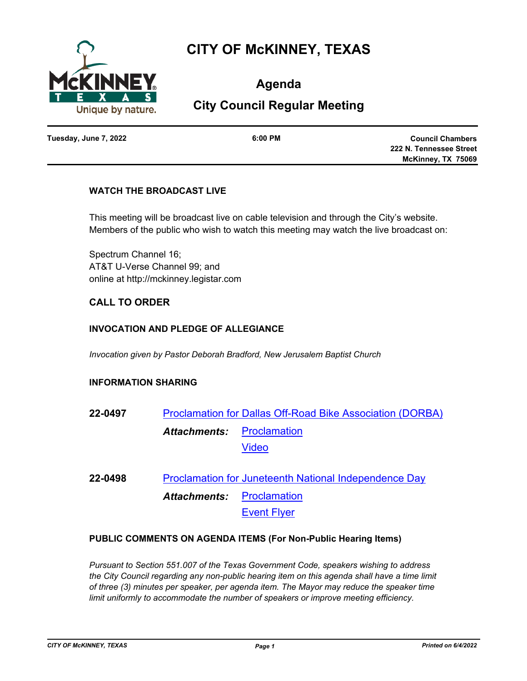

# **CITY OF McKINNEY, TEXAS**

**Agenda**

# **City Council Regular Meeting**

**Tuesday, June 7, 2022 6:00 PM**

**Council Chambers 222 N. Tennessee Street McKinney, TX 75069**

# **WATCH THE BROADCAST LIVE**

This meeting will be broadcast live on cable television and through the City's website. Members of the public who wish to watch this meeting may watch the live broadcast on:

Spectrum Channel 16; AT&T U-Verse Channel 99; and online at http://mckinney.legistar.com

# **CALL TO ORDER**

# **INVOCATION AND PLEDGE OF ALLEGIANCE**

*Invocation given by Pastor Deborah Bradford, New Jerusalem Baptist Church*

## **INFORMATION SHARING**

- **22-0497** [Proclamation for Dallas Off-Road Bike Association \(DORBA\)](http://mckinney.legistar.com/gateway.aspx?m=l&id=23894) **[Proclamation](http://McKinney.legistar.com/gateway.aspx?M=F&ID=3a775697-b239-435d-8771-a9788aad7339.pdf)** [Video](https://vimeo.com/706317980) *Attachments:*
- **22-0498** [Proclamation for Juneteenth National Independence Day](http://mckinney.legistar.com/gateway.aspx?m=l&id=23698) **[Proclamation](http://McKinney.legistar.com/gateway.aspx?M=F&ID=b91da3a8-24f9-4b19-b055-edcf76c778fd.pdf)** [Event Flyer](http://McKinney.legistar.com/gateway.aspx?M=F&ID=e4f92c19-c6f3-44c4-a29f-b646653aa260.pdf) *Attachments:*

## **PUBLIC COMMENTS ON AGENDA ITEMS (For Non-Public Hearing Items)**

*Pursuant to Section 551.007 of the Texas Government Code, speakers wishing to address the City Council regarding any non-public hearing item on this agenda shall have a time limit of three (3) minutes per speaker, per agenda item. The Mayor may reduce the speaker time limit uniformly to accommodate the number of speakers or improve meeting efficiency.*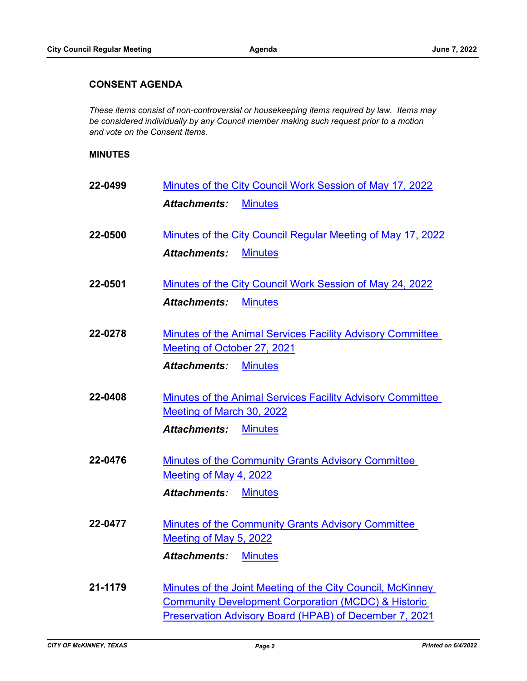## **CONSENT AGENDA**

*These items consist of non-controversial or housekeeping items required by law. Items may be considered individually by any Council member making such request prior to a motion and vote on the Consent Items.*

#### **MINUTES**

| 22-0499 | Minutes of the City Council Work Session of May 17, 2022                                                                     |  |
|---------|------------------------------------------------------------------------------------------------------------------------------|--|
|         | <b>Attachments:</b><br><b>Minutes</b>                                                                                        |  |
| 22-0500 | Minutes of the City Council Regular Meeting of May 17, 2022                                                                  |  |
|         | <b>Minutes</b><br><b>Attachments:</b>                                                                                        |  |
| 22-0501 | Minutes of the City Council Work Session of May 24, 2022                                                                     |  |
|         | <b>Minutes</b><br><b>Attachments:</b>                                                                                        |  |
| 22-0278 | Minutes of the Animal Services Facility Advisory Committee<br>Meeting of October 27, 2021                                    |  |
|         | <b>Attachments:</b><br><b>Minutes</b>                                                                                        |  |
| 22-0408 | Minutes of the Animal Services Facility Advisory Committee<br>Meeting of March 30, 2022                                      |  |
|         | <b>Attachments:</b><br><b>Minutes</b>                                                                                        |  |
| 22-0476 | Minutes of the Community Grants Advisory Committee<br>Meeting of May 4, 2022                                                 |  |
|         | <b>Attachments:</b><br><b>Minutes</b>                                                                                        |  |
| 22-0477 | Minutes of the Community Grants Advisory Committee<br>Meeting of May 5, 2022                                                 |  |
|         | <b>Attachments:</b><br><b>Minutes</b>                                                                                        |  |
| 21-1179 | Minutes of the Joint Meeting of the City Council, McKinney<br><b>Community Development Corporation (MCDC) &amp; Historic</b> |  |
|         | Preservation Advisory Board (HPAB) of December 7, 2021                                                                       |  |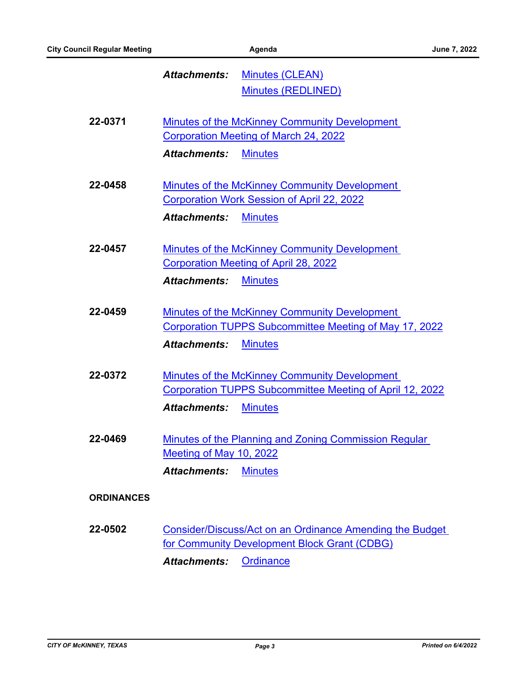#### [Minutes \(CLEAN\)](http://McKinney.legistar.com/gateway.aspx?M=F&ID=6fb409ba-176e-402b-be4e-5c52b74a9785.pdf) [Minutes \(REDLINED\)](http://McKinney.legistar.com/gateway.aspx?M=F&ID=05b56696-bfd8-44e0-9156-f054b48ce236.pdf) *Attachments:*

| 22-0371           | Minutes of the McKinney Community Development                   |
|-------------------|-----------------------------------------------------------------|
|                   | <b>Corporation Meeting of March 24, 2022</b>                    |
|                   | <b>Attachments:</b><br><b>Minutes</b>                           |
|                   |                                                                 |
| 22-0458           | <b>Minutes of the McKinney Community Development</b>            |
|                   | <b>Corporation Work Session of April 22, 2022</b>               |
|                   | <b>Attachments:</b><br><b>Minutes</b>                           |
| 22-0457           | Minutes of the McKinney Community Development                   |
|                   | <b>Corporation Meeting of April 28, 2022</b>                    |
|                   | <b>Attachments:</b><br><b>Minutes</b>                           |
|                   |                                                                 |
| 22-0459           | <b>Minutes of the McKinney Community Development</b>            |
|                   | Corporation TUPPS Subcommittee Meeting of May 17, 2022          |
|                   | <b>Minutes</b><br><b>Attachments:</b>                           |
| 22-0372           | Minutes of the McKinney Community Development                   |
|                   | Corporation TUPPS Subcommittee Meeting of April 12, 2022        |
|                   | <b>Minutes</b><br><b>Attachments:</b>                           |
| 22-0469           | Minutes of the Planning and Zoning Commission Regular           |
|                   | Meeting of May 10, 2022                                         |
|                   | <b>Attachments:</b><br><b>Minutes</b>                           |
|                   |                                                                 |
| <b>ORDINANCES</b> |                                                                 |
|                   |                                                                 |
| 22-0502           | <b>Consider/Discuss/Act on an Ordinance Amending the Budget</b> |
|                   | for Community Development Block Grant (CDBG)                    |

Attachments: [Ordinance](http://McKinney.legistar.com/gateway.aspx?M=F&ID=e33b5b83-215c-476b-bef9-52291f8579c9.docx)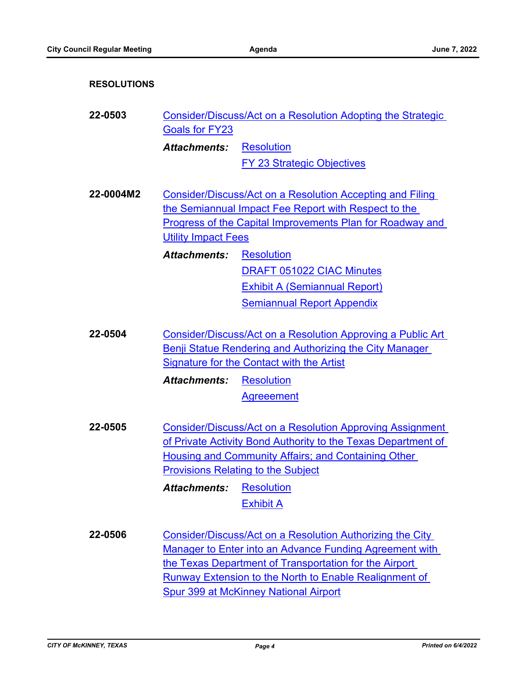| <b>RESOLUTIONS</b> |                                                                                                                                                                            |                                                                                                                                                                                                                                                                                                 |
|--------------------|----------------------------------------------------------------------------------------------------------------------------------------------------------------------------|-------------------------------------------------------------------------------------------------------------------------------------------------------------------------------------------------------------------------------------------------------------------------------------------------|
| 22-0503            | Consider/Discuss/Act on a Resolution Adopting the Strategic<br><b>Goals for FY23</b>                                                                                       |                                                                                                                                                                                                                                                                                                 |
|                    | <b>Attachments:</b>                                                                                                                                                        | <b>Resolution</b>                                                                                                                                                                                                                                                                               |
|                    |                                                                                                                                                                            | <b>FY 23 Strategic Objectives</b>                                                                                                                                                                                                                                                               |
| 22-0004M2          | <b>Utility Impact Fees</b><br><b>Attachments:</b>                                                                                                                          | Consider/Discuss/Act on a Resolution Accepting and Filing<br>the Semiannual Impact Fee Report with Respect to the<br><b>Progress of the Capital Improvements Plan for Roadway and</b><br><b>Resolution</b>                                                                                      |
|                    |                                                                                                                                                                            | <b>DRAFT 051022 CIAC Minutes</b>                                                                                                                                                                                                                                                                |
|                    |                                                                                                                                                                            | <b>Exhibit A (Semiannual Report)</b><br><b>Semiannual Report Appendix</b>                                                                                                                                                                                                                       |
| 22-0504            | Consider/Discuss/Act on a Resolution Approving a Public Art<br><b>Benji Statue Rendering and Authorizing the City Manager</b><br>Signature for the Contact with the Artist |                                                                                                                                                                                                                                                                                                 |
|                    | <b>Attachments:</b>                                                                                                                                                        | <b>Resolution</b>                                                                                                                                                                                                                                                                               |
|                    |                                                                                                                                                                            | <b>Agreeement</b>                                                                                                                                                                                                                                                                               |
| 22-0505            |                                                                                                                                                                            | Consider/Discuss/Act on a Resolution Approving Assignment<br>of Private Activity Bond Authority to the Texas Department of<br>Housing and Community Affairs; and Containing Other<br><b>Provisions Relating to the Subject</b>                                                                  |
|                    | <b>Attachments:</b>                                                                                                                                                        | <b>Resolution</b>                                                                                                                                                                                                                                                                               |
|                    |                                                                                                                                                                            | <b>Exhibit A</b>                                                                                                                                                                                                                                                                                |
| 22-0506            |                                                                                                                                                                            | Consider/Discuss/Act on a Resolution Authorizing the City<br>Manager to Enter into an Advance Funding Agreement with<br>the Texas Department of Transportation for the Airport<br><b>Runway Extension to the North to Enable Realignment of</b><br><b>Spur 399 at McKinney National Airport</b> |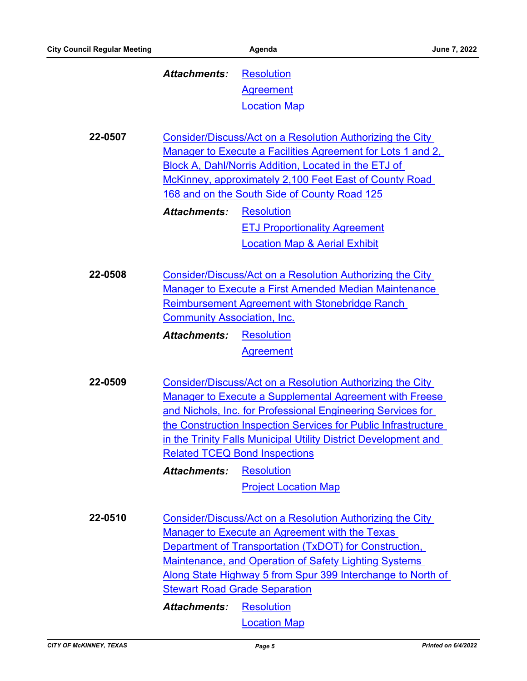## [Resolution](http://McKinney.legistar.com/gateway.aspx?M=F&ID=44f3395f-17e4-4263-81ce-7fcbbbad07a7.DOC) **[Agreement](http://McKinney.legistar.com/gateway.aspx?M=F&ID=7f5be417-8e01-4102-ba55-837a83cb758d.pdf)** [Location Map](http://McKinney.legistar.com/gateway.aspx?M=F&ID=ce204786-9feb-4d5e-a366-62c4aa3d28ba.pdf) *Attachments:*

**22-0507** Consider/Discuss/Act on a Resolution Authorizing the City [Manager to Execute a Facilities Agreement for Lots 1 and 2,](http://mckinney.legistar.com/gateway.aspx?m=l&id=23885)  Block A, Dahl/Norris Addition, Located in the ETJ of McKinney, approximately 2,100 Feet East of County Road 168 and on the South Side of County Road 125 **[Resolution](http://McKinney.legistar.com/gateway.aspx?M=F&ID=63c47752-90c3-48ec-ab52-4f8ff24c58cb.doc)** [ETJ Proportionality Agreement](http://McKinney.legistar.com/gateway.aspx?M=F&ID=21182aad-c5e8-4b2f-8457-f712b4950ac3.pdf) *Attachments:*

[Location Map & Aerial Exhibit](http://McKinney.legistar.com/gateway.aspx?M=F&ID=1b5358f4-06c5-487c-b2af-e070ae463476.pdf)

**22-0508** Consider/Discuss/Act on a Resolution Authorizing the City [Manager to Execute a First Amended Median Maintenance](http://mckinney.legistar.com/gateway.aspx?m=l&id=23893)  Reimbursement Agreement with Stonebridge Ranch Community Association, Inc. **[Resolution](http://McKinney.legistar.com/gateway.aspx?M=F&ID=d29bac59-4180-429a-baa5-8a2968e27f33.docx)** *Attachments:*

**[Agreement](http://McKinney.legistar.com/gateway.aspx?M=F&ID=7a61f52e-8121-4688-9ba0-d31e311469cb.pdf)** 

**22-0509** Consider/Discuss/Act on a Resolution Authorizing the City Manager to Execute a Supplemental Agreement with Freese and Nichols, Inc. for Professional Engineering Services for [the Construction Inspection Services for Public Infrastructure](http://mckinney.legistar.com/gateway.aspx?m=l&id=23804)  in the Trinity Falls Municipal Utility District Development and Related TCEQ Bond Inspections

**[Resolution](http://McKinney.legistar.com/gateway.aspx?M=F&ID=428525ef-7997-4fc2-bcc2-2e0b83e58bfb.doc)** [Project Location Map](http://McKinney.legistar.com/gateway.aspx?M=F&ID=06109380-e8cd-4a41-9dd1-af254819e175.pdf) *Attachments:*

**22-0510** Consider/Discuss/Act on a Resolution Authorizing the City Manager to Execute an Agreement with the Texas Department of Transportation (TxDOT) for Construction, Maintenance, and Operation of Safety Lighting Systems [Along State Highway 5 from Spur 399 Interchange to North of](http://mckinney.legistar.com/gateway.aspx?m=l&id=23882)  Stewart Road Grade Separation **[Resolution](http://McKinney.legistar.com/gateway.aspx?M=F&ID=476f9ace-7da7-45b0-8932-f7717cc3e3ea.doc)** *Attachments:*

[Location Map](http://McKinney.legistar.com/gateway.aspx?M=F&ID=a6e9ba69-7bc4-4f13-98e9-74d25e4cb67d.pdf)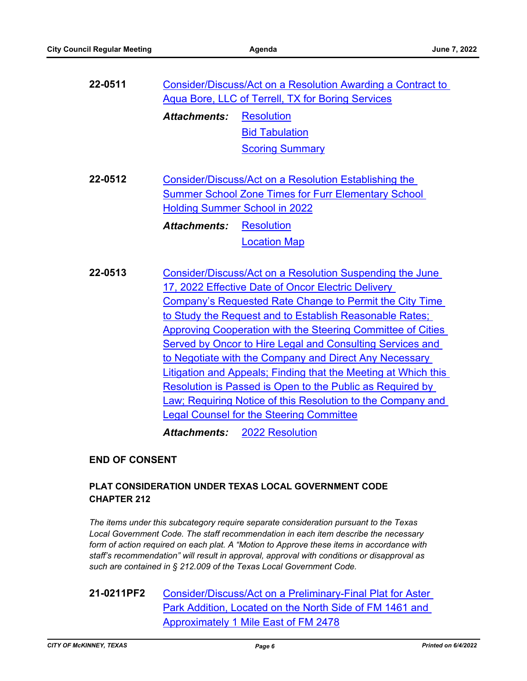| 22-0511 |                     | <b>Consider/Discuss/Act on a Resolution Awarding a Contract to</b>                                                                                          |
|---------|---------------------|-------------------------------------------------------------------------------------------------------------------------------------------------------------|
|         |                     | Aqua Bore, LLC of Terrell, TX for Boring Services                                                                                                           |
|         | <b>Attachments:</b> | <b>Resolution</b>                                                                                                                                           |
|         |                     | <b>Bid Tabulation</b>                                                                                                                                       |
|         |                     | <b>Scoring Summary</b>                                                                                                                                      |
| 22-0512 |                     | Consider/Discuss/Act on a Resolution Establishing the<br><b>Summer School Zone Times for Furr Elementary School</b><br><b>Holding Summer School in 2022</b> |
|         | <b>Attachments:</b> | <b>Resolution</b>                                                                                                                                           |
|         |                     | <b>Location Map</b>                                                                                                                                         |
|         |                     |                                                                                                                                                             |
| 22-0513 |                     | Consider/Discuss/Act on a Resolution Suspending the June                                                                                                    |
|         |                     | 17, 2022 Effective Date of Oncor Electric Delivery                                                                                                          |
|         |                     | Company's Requested Rate Change to Permit the City Time                                                                                                     |
|         |                     | to Study the Request and to Establish Reasonable Rates;                                                                                                     |
|         |                     | <b>Approving Cooperation with the Steering Committee of Cities</b>                                                                                          |
|         |                     | Served by Oncor to Hire Legal and Consulting Services and                                                                                                   |
|         |                     | to Negotiate with the Company and Direct Any Necessary                                                                                                      |
|         |                     | Litigation and Appeals; Finding that the Meeting at Which this                                                                                              |
|         |                     | Resolution is Passed is Open to the Public as Required by                                                                                                   |
|         |                     | Law; Requiring Notice of this Resolution to the Company and                                                                                                 |
|         |                     | <b>Legal Counsel for the Steering Committee</b>                                                                                                             |
|         |                     |                                                                                                                                                             |
|         | <b>Attachments:</b> | <b>2022 Resolution</b>                                                                                                                                      |
|         |                     |                                                                                                                                                             |

# **END OF CONSENT**

# **PLAT CONSIDERATION UNDER TEXAS LOCAL GOVERNMENT CODE CHAPTER 212**

*The items under this subcategory require separate consideration pursuant to the Texas Local Government Code. The staff recommendation in each item describe the necessary form of action required on each plat. A "Motion to Approve these items in accordance with staff's recommendation" will result in approval, approval with conditions or disapproval as such are contained in § 212.009 of the Texas Local Government Code.*

**21-0211PF2** [Consider/Discuss/Act on a Preliminary-Final Plat for Aster](http://mckinney.legistar.com/gateway.aspx?m=l&id=23884)  Park Addition, Located on the North Side of FM 1461 and Approximately 1 Mile East of FM 2478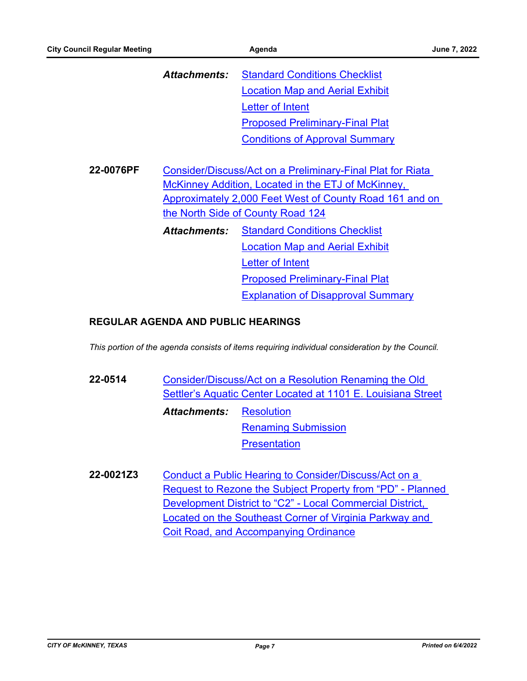|           | Attachments:                                                                                                                                       | <b>Standard Conditions Checklist</b>      |  |
|-----------|----------------------------------------------------------------------------------------------------------------------------------------------------|-------------------------------------------|--|
|           |                                                                                                                                                    | <b>Location Map and Aerial Exhibit</b>    |  |
|           |                                                                                                                                                    | Letter of Intent                          |  |
|           |                                                                                                                                                    | <b>Proposed Preliminary-Final Plat</b>    |  |
|           |                                                                                                                                                    | <b>Conditions of Approval Summary</b>     |  |
|           |                                                                                                                                                    |                                           |  |
| 22-0076PF | Consider/Discuss/Act on a Preliminary-Final Plat for Riata                                                                                         |                                           |  |
|           | McKinney Addition, Located in the ETJ of McKinney,<br>Approximately 2,000 Feet West of County Road 161 and on<br>the North Side of County Road 124 |                                           |  |
|           |                                                                                                                                                    |                                           |  |
|           |                                                                                                                                                    |                                           |  |
|           | <b>Attachments:</b>                                                                                                                                | <b>Standard Conditions Checklist</b>      |  |
|           |                                                                                                                                                    | <b>Location Map and Aerial Exhibit</b>    |  |
|           |                                                                                                                                                    | Letter of Intent                          |  |
|           |                                                                                                                                                    | <b>Proposed Preliminary-Final Plat</b>    |  |
|           |                                                                                                                                                    | <b>Explanation of Disapproval Summary</b> |  |

### **REGULAR AGENDA AND PUBLIC HEARINGS**

*This portion of the agenda consists of items requiring individual consideration by the Council.*

- **22-0514** Consider/Discuss/Act on a Resolution Renaming the Old [Settler's Aquatic Center Located at 1101 E. Louisiana Street](http://mckinney.legistar.com/gateway.aspx?m=l&id=23897) **[Resolution](http://McKinney.legistar.com/gateway.aspx?M=F&ID=582013fc-87b4-4888-8196-7319a7ad2d54.docx)** [Renaming Submission](http://McKinney.legistar.com/gateway.aspx?M=F&ID=a2d1dfd5-6f23-4976-a119-4d78a6d20aab.pdf) **[Presentation](http://McKinney.legistar.com/gateway.aspx?M=F&ID=ea5f7cb2-3702-4664-bafe-32a778d7c3de.pdf)** *Attachments:*
- **22-0021Z3** Conduct a Public Hearing to Consider/Discuss/Act on a [Request to Rezone the Subject Property from "PD" - Planned](http://mckinney.legistar.com/gateway.aspx?m=l&id=23881)  Development District to "C2" - Local Commercial District, Located on the Southeast Corner of Virginia Parkway and Coit Road, and Accompanying Ordinance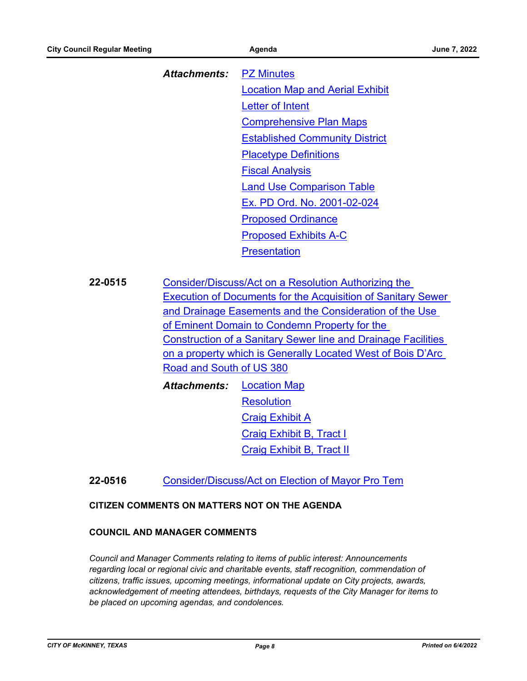# [PZ Minutes](http://McKinney.legistar.com/gateway.aspx?M=F&ID=43de31d1-57a2-4f1b-9804-b236228064d2.docx) [Location Map and Aerial Exhibit](http://McKinney.legistar.com/gateway.aspx?M=F&ID=f1a383cf-5ca3-43db-af25-38a54d3aebcc.pdf) [Letter of Intent](http://McKinney.legistar.com/gateway.aspx?M=F&ID=b7dca01d-3d15-4623-beda-e1a34eca1e0b.pdf) [Comprehensive Plan Maps](http://McKinney.legistar.com/gateway.aspx?M=F&ID=e624b30a-964c-4a47-8943-36751228a52a.pdf) [Established Community District](http://McKinney.legistar.com/gateway.aspx?M=F&ID=5141efbb-31dd-47ae-b93c-ee029a5e1617.pdf) [Placetype Definitions](http://McKinney.legistar.com/gateway.aspx?M=F&ID=2bcb3ded-6407-4b58-beb9-637df004805f.pdf) [Fiscal Analysis](http://McKinney.legistar.com/gateway.aspx?M=F&ID=9213d34c-da8a-4026-abbc-cce9c3e24366.pdf) [Land Use Comparison Table](http://McKinney.legistar.com/gateway.aspx?M=F&ID=fa34cdeb-41c6-42c3-aaac-9d68bbb1e265.pdf) [Ex. PD Ord. No. 2001-02-024](http://McKinney.legistar.com/gateway.aspx?M=F&ID=19c631e8-c7fd-4b13-a459-ee605514563a.pdf) [Proposed Ordinance](http://McKinney.legistar.com/gateway.aspx?M=F&ID=4ab32b02-656d-438c-a313-a1b97e210e14.doc) [Proposed Exhibits A-C](http://McKinney.legistar.com/gateway.aspx?M=F&ID=3d11f096-aded-45de-913e-ebf8335bba86.pdf) **[Presentation](http://McKinney.legistar.com/gateway.aspx?M=F&ID=135a2a9e-aa0e-4ab4-92c1-0b040c47c208.pdf)** *Attachments:*

**22-0515** Consider/Discuss/Act on a Resolution Authorizing the [Execution of Documents for the Acquisition of Sanitary Sewer](http://mckinney.legistar.com/gateway.aspx?m=l&id=23295)  and Drainage Easements and the Consideration of the Use of Eminent Domain to Condemn Property for the Construction of a Sanitary Sewer line and Drainage Facilities on a property which is Generally Located West of Bois D'Arc Road and South of US 380

[Location Map](http://McKinney.legistar.com/gateway.aspx?M=F&ID=c780800a-0409-46e8-b632-f430195a7a60.png) **[Resolution](http://McKinney.legistar.com/gateway.aspx?M=F&ID=09fb0fe5-970e-4bd8-a386-3d544a280bed.doc)** [Craig Exhibit A](http://McKinney.legistar.com/gateway.aspx?M=F&ID=88fe89e8-5c6f-4c1f-adda-c051df5153f0.pdf) [Craig Exhibit B, Tract I](http://McKinney.legistar.com/gateway.aspx?M=F&ID=f61f9843-c851-4b7a-8180-6da64dc6db50.pdf) [Craig Exhibit B, Tract II](http://McKinney.legistar.com/gateway.aspx?M=F&ID=cd0e837c-1308-46ff-8ade-d937c607ea1a.pdf) *Attachments:*

## **22-0516** [Consider/Discuss/Act on Election of Mayor Pro Tem](http://mckinney.legistar.com/gateway.aspx?m=l&id=23899)

### **CITIZEN COMMENTS ON MATTERS NOT ON THE AGENDA**

#### **COUNCIL AND MANAGER COMMENTS**

*Council and Manager Comments relating to items of public interest: Announcements*  regarding local or regional civic and charitable events, staff recognition, commendation of *citizens, traffic issues, upcoming meetings, informational update on City projects, awards, acknowledgement of meeting attendees, birthdays, requests of the City Manager for items to be placed on upcoming agendas, and condolences.*